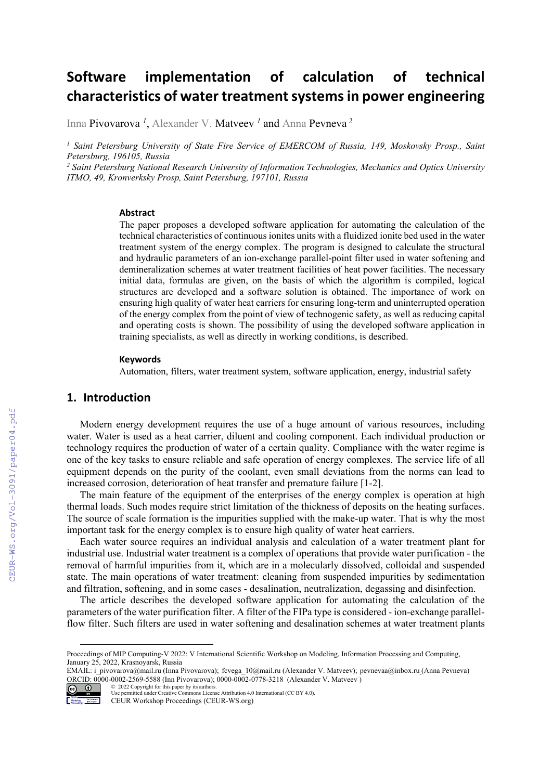# **Software implementation of calculation of technical characteristics of water treatmentsystemsin power engineering**

Inna Pivovarova *<sup>1</sup>* , Alexander V. Matveev *<sup>1</sup>* and Anna Pevneva *<sup>2</sup>*

<sup>1</sup> Saint Petersburg University of State Fire Service of EMERCOM of Russia, 149, Moskovsky Prosp., Saint *Petersburg, 196105, Russia* 

<sup>2</sup> Saint Petersburg National Research University of Information Technologies, Mechanics and Optics University *ITMO, 49, Kronverksky Prosp, Saint Petersburg, 197101, Russia* 

#### **Abstract**

The paper proposes a developed software application for automating the calculation of the technical characteristics of continuous ionites units with a fluidized ionite bed used in the water treatment system of the energy complex. The program is designed to calculate the structural and hydraulic parameters of an ion-exchange parallel-point filter used in water softening and demineralization schemes at water treatment facilities of heat power facilities. The necessary initial data, formulas are given, on the basis of which the algorithm is compiled, logical structures are developed and a software solution is obtained. The importance of work on ensuring high quality of water heat carriers for ensuring long-term and uninterrupted operation of the energy complex from the point of view of technogenic safety, as well as reducing capital and operating costs is shown. The possibility of using the developed software application in training specialists, as well as directly in working conditions, is described.

#### **Keywords 1**

Automation, filters, water treatment system, software application, energy, industrial safety

#### **1. Introduction**

Modern energy development requires the use of a huge amount of various resources, including water. Water is used as a heat carrier, diluent and cooling component. Each individual production or technology requires the production of water of a certain quality. Compliance with the water regime is one of the key tasks to ensure reliable and safe operation of energy complexes. The service life of all equipment depends on the purity of the coolant, even small deviations from the norms can lead to increased corrosion, deterioration of heat transfer and premature failure [1-2].

The main feature of the equipment of the enterprises of the energy complex is operation at high thermal loads. Such modes require strict limitation of the thickness of deposits on the heating surfaces. The source of scale formation is the impurities supplied with the make-up water. That is why the most important task for the energy complex is to ensure high quality of water heat carriers.

Each water source requires an individual analysis and calculation of a water treatment plant for industrial use. Industrial water treatment is a complex of operations that provide water purification - the removal of harmful impurities from it, which are in a molecularly dissolved, colloidal and suspended state. The main operations of water treatment: cleaning from suspended impurities by sedimentation and filtration, softening, and in some cases - desalination, neutralization, degassing and disinfection.

The article describes the developed software application for automating the calculation of the parameters of the water purification filter. A filter of the FIPa type is considered - ion-exchange parallelflow filter. Such filters are used in water softening and desalination schemes at water treatment plants

EMAIL: i\_pivovarova@mail.ru (Inna Pivovarova); fcvega\_10@mail.ru (Alexander V. Matveev); pevnevaa@inbox.ru (Anna Pevneva) ORCID: 0000-0002-2569-5588 (Inn Pivovarova); 0000-0002-0778-3218 (Alexander V. Matveev) © 2022 Copyright for this paper by its authors.



Use permitted under Creative Commons License Attribution 4.0 International (CC BY 4.0). CEUR Workshop Proceedings (CEUR-WS.org)

Proceedings of MIP Computing-V 2022: V International Scientific Workshop on Modeling, Information Processing and Computing, January 25, 2022, Krasnoyarsk, Russia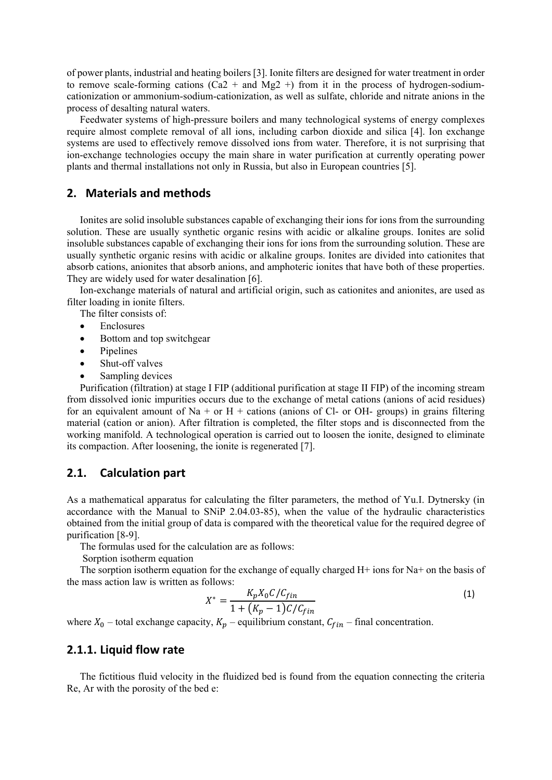of power plants, industrial and heating boilers [3]. Ionite filters are designed for water treatment in order to remove scale-forming cations (Ca2 + and Mg2 +) from it in the process of hydrogen-sodiumcationization or ammonium-sodium-cationization, as well as sulfate, chloride and nitrate anions in the process of desalting natural waters.

Feedwater systems of high-pressure boilers and many technological systems of energy complexes require almost complete removal of all ions, including carbon dioxide and silica [4]. Ion exchange systems are used to effectively remove dissolved ions from water. Therefore, it is not surprising that ion-exchange technologies occupy the main share in water purification at currently operating power plants and thermal installations not only in Russia, but also in European countries [5].

## **2. Materials and methods**

Ionites are solid insoluble substances capable of exchanging their ions for ions from the surrounding solution. These are usually synthetic organic resins with acidic or alkaline groups. Ionites are solid insoluble substances capable of exchanging their ions for ions from the surrounding solution. These are usually synthetic organic resins with acidic or alkaline groups. Ionites are divided into cationites that absorb cations, anionites that absorb anions, and amphoteric ionites that have both of these properties. They are widely used for water desalination [6].

Ion-exchange materials of natural and artificial origin, such as cationites and anionites, are used as filter loading in ionite filters.

The filter consists of:

- Enclosures
- Bottom and top switchgear
- Pinelines
- Shut-off valves
- Sampling devices

Purification (filtration) at stage I FIP (additional purification at stage II FIP) of the incoming stream from dissolved ionic impurities occurs due to the exchange of metal cations (anions of acid residues) for an equivalent amount of Na + or H + cations (anions of Cl- or OH- groups) in grains filtering material (cation or anion). After filtration is completed, the filter stops and is disconnected from the working manifold. A technological operation is carried out to loosen the ionite, designed to eliminate its compaction. After loosening, the ionite is regenerated [7].

## **2.1. Calculation part**

As a mathematical apparatus for calculating the filter parameters, the method of Yu.I. Dytnersky (in accordance with the Manual to SNiP 2.04.03-85), when the value of the hydraulic characteristics obtained from the initial group of data is compared with the theoretical value for the required degree of purification [8-9].

The formulas used for the calculation are as follows:

Sorption isotherm equation

The sorption isotherm equation for the exchange of equally charged  $H<sup>+</sup>$  ions for Na+ on the basis of the mass action law is written as follows:

$$
X^* = \frac{K_p X_0 C / C_{fin}}{1 + (K_p - 1) C / C_{fin}}\tag{1}
$$

where  $X_0$  – total exchange capacity,  $K_p$  – equilibrium constant,  $C_{fin}$  – final concentration.

# **2.1.1. Liquid flow rate**

The fictitious fluid velocity in the fluidized bed is found from the equation connecting the criteria Re, Аr with the porosity of the bed е: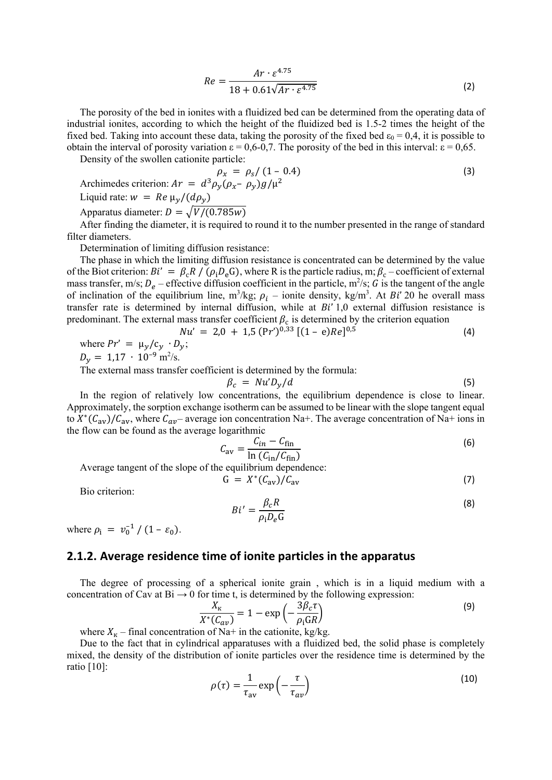$$
Re = \frac{Ar \cdot \varepsilon^{4.75}}{18 + 0.61\sqrt{Ar \cdot \varepsilon^{4.75}}}
$$
 (2)

The porosity of the bed in ionites with a fluidized bed can be determined from the operating data of industrial ionites, according to which the height of the fluidized bed is 1.5-2 times the height of the fixed bed. Taking into account these data, taking the porosity of the fixed bed  $\varepsilon_0 = 0.4$ , it is possible to obtain the interval of porosity variation  $\varepsilon = 0.6-0.7$ . The porosity of the bed in this interval:  $\varepsilon = 0.65$ .

Density of the swollen cationite particle:

$$
\rho_x = \rho_s / (1 - 0.4)
$$
\nArchimedes criterion:  $Ar = d^3 \rho_y (\rho_x - \rho_y) g / \mu^2$ 

\nLiquid rate:  $w = Re \mu_y / (d\rho_y)$ 

\nApparatus diameter:  $D = \sqrt{V/(0.785w)}$ 

\nAfter finding the diameter, it is required to round it to the number presented in the range of stands.

After finding the diameter, it is required to round it to the number presented in the range of standard filter diameters.

Determination of limiting diffusion resistance:

The phase in which the limiting diffusion resistance is concentrated can be determined by the value of the Biot criterion:  $Bi' = \beta_c R / (\rho_i D_e G)$ , where R is the particle radius, m;  $\beta_c$  – coefficient of external mass transfer, m/s;  $D_e$  – effective diffusion coefficient in the particle, m<sup>2</sup>/s; G is the tangent of the angle of inclination of the equilibrium line,  $m^3/kg$ ;  $\rho_i$  – ionite density, kg/m<sup>3</sup>. At *Bi'* 20 he overall mass transfer rate is determined by internal diffusion, while at  $Bi'$  1,0 external diffusion resistance is predominant. The external mass transfer coefficient  $\beta_c$  is determined by the criterion equation

$$
Nu' = 2.0 + 1.5 \, (\text{Pr}')^{0.33} \, [(1 - e)Re]^{0.5} \tag{4}
$$

where 
$$
Pr' = \mu_y / c_y \cdot D_y
$$
;  
\n $D_y = 1.17 \cdot 10^{-9} \text{ m}^2/\text{s}$ .

The external mass transfer coefficient is determined by the formula:

$$
\beta_c = Nu'D_y/d \tag{5}
$$

In the region of relatively low concentrations, the equilibrium dependence is close to linear. Approximately, the sorption exchange isotherm can be assumed to be linear with the slope tangent equal to  $X^*(C_{av})/C_{av}$ , where  $C_{av}$  average ion concentration Na+. The average concentration of Na+ ions in the flow can be found as the average logarithmic

$$
C_{\rm av} = \frac{C_{in} - C_{\rm fin}}{\ln \left( C_{\rm in} / C_{\rm fin} \right)} \tag{6}
$$

Average tangent of the slope of the equilibrium dependence:

$$
G = X^*(C_{\rm av})/C_{\rm av} \tag{7}
$$

Bio criterion:

$$
Bi' = \frac{\beta_c R}{\rho_i D_e G}
$$
 (8)

where  $\rho_i = v_0^{-1} / (1 - \varepsilon_0)$ .

## **2.1.2. Average residence time of ionite particles in the apparatus**

The degree of processing of a spherical ionite grain , which is in a liquid medium with a concentration of Cav at  $Bi \rightarrow 0$  for time t, is determined by the following expression:

$$
\frac{X_{\kappa}}{X^*(C_{av})} = 1 - \exp\left(-\frac{3\beta_c \tau}{\rho_{\rm i} \text{G}R}\right) \tag{9}
$$

where  $X_K$  – final concentration of Na+ in the cationite, kg/kg.

Due to the fact that in cylindrical apparatuses with a fluidized bed, the solid phase is completely mixed, the density of the distribution of ionite particles over the residence time is determined by the ratio [10]:

$$
\rho(\tau) = \frac{1}{\tau_{\rm av}} \exp\left(-\frac{\tau}{\tau_{av}}\right) \tag{10}
$$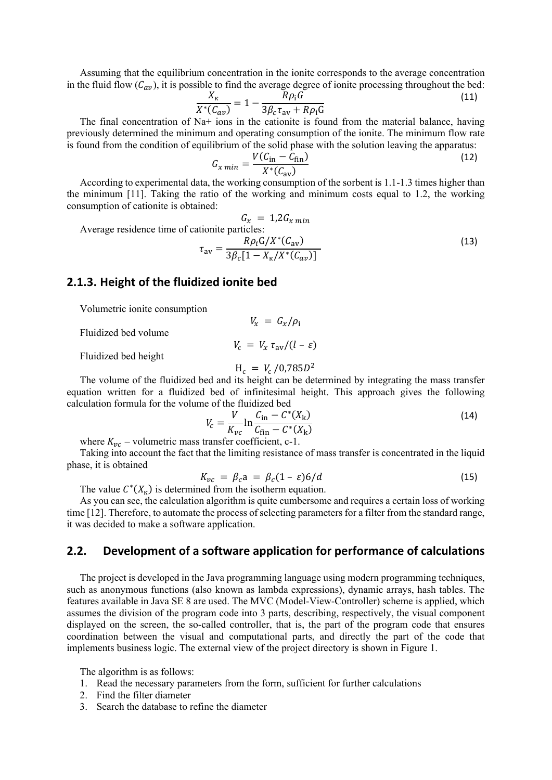Assuming that the equilibrium concentration in the ionite corresponds to the average concentration in the fluid flow  $(C_{av})$ , it is possible to find the average degree of ionite processing throughout the bed:

$$
\frac{X_{\kappa}}{X^*(C_{av})} = 1 - \frac{R\rho_i G}{3\beta_c \tau_{av} + R\rho_i G}
$$
\n(11)

The final concentration of Na+ ions in the cationite is found from the material balance, having previously determined the minimum and operating consumption of the ionite. The minimum flow rate is found from the condition of equilibrium of the solid phase with the solution leaving the apparatus:

$$
G_{x\ min} = \frac{V(C_{\text{in}} - \tilde{C}_{\text{fin}})}{X^*(C_{\text{av}})}
$$
(12)

According to experimental data, the working consumption of the sorbent is 1.1-1.3 times higher than the minimum [11]. Taking the ratio of the working and minimum costs equal to 1.2, the working consumption of cationite is obtained:

$$
G_x = 1,2G_{x min}
$$
  
Average residence time of cationite particles:  

$$
\tau_{av} = \frac{R\rho_i G/X^*(C_{av})}{3\beta_c [1 - X_K/X^*(C_{av})]}
$$
(13)

# **2.1.3. Height of the fluidized ionite bed**

Volumetric ionite consumption

Fluidized bed volume

Fluidized bed height

 $H_c = V_c / 0.785D^2$ 

 $V_c = V_r \tau_{av}/(l - \varepsilon)$ 

 $V_r = G_r/\rho_i$ 

The volume of the fluidized bed and its height can be determined by integrating the mass transfer equation written for a fluidized bed of infinitesimal height. This approach gives the following calculation formula for the volume of the fluidized bed

$$
V_c = \frac{V}{K_{vc}} \ln \frac{C_{\text{in}} - C^*(X_{\text{k}})}{C_{\text{fin}} - C^*(X_{\text{k}})}
$$
(14)

where  $K_{\nu c}$  – volumetric mass transfer coefficient, c-1.

Taking into account the fact that the limiting resistance of mass transfer is concentrated in the liquid phase, it is obtained

$$
K_{vc} = \beta_c a = \beta_c (1 - \varepsilon) 6/d \tag{15}
$$

The value  $C^*(X_{\kappa})$  is determined from the isotherm equation.

As you can see, the calculation algorithm is quite cumbersome and requires a certain loss of working time [12]. Therefore, to automate the process of selecting parameters for a filter from the standard range, it was decided to make a software application.

#### **2.2. Development of a software application for performance of calculations**

The project is developed in the Java programming language using modern programming techniques, such as anonymous functions (also known as lambda expressions), dynamic arrays, hash tables. The features available in Java SE 8 are used. The MVC (Model-View-Controller) scheme is applied, which assumes the division of the program code into 3 parts, describing, respectively, the visual component displayed on the screen, the so-called controller, that is, the part of the program code that ensures coordination between the visual and computational parts, and directly the part of the code that implements business logic. The external view of the project directory is shown in Figure 1.

The algorithm is as follows:

- 1. Read the necessary parameters from the form, sufficient for further calculations
- 2. Find the filter diameter
- 3. Search the database to refine the diameter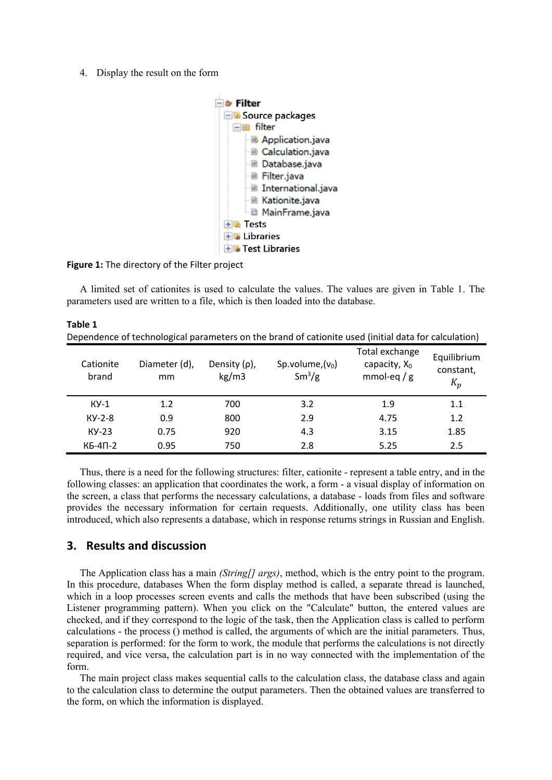4. Display the result on the form



**Figure 1:** The directory of the Filter project

A limited set of cationites is used to calculate the values. The values are given in Table 1. The parameters used are written to a file, which is then loaded into the database.

| Table 1            |                     |                             | Dependence of technological parameters on the brand of cationite used (initial data for calculation) |                                                   |                                   |
|--------------------|---------------------|-----------------------------|------------------------------------------------------------------------------------------------------|---------------------------------------------------|-----------------------------------|
| Cationite<br>brand | Diameter (d),<br>mm | Density $(\rho)$ ,<br>kg/m3 | Sp.volume, $(v_0)$<br>$Sm^3/g$                                                                       | Total exchange<br>capacity, $X_0$<br>mmol-eq $/g$ | Equilibrium<br>constant,<br>$K_p$ |
| $KY-1$             | 1.2                 | 700                         | 3.2                                                                                                  | 1.9                                               | 1.1                               |
| $KY-2-8$           | 0.9                 | 800                         | 2.9                                                                                                  | 4.75                                              | 1.2                               |
| $KY-23$            | 0.75                | 920                         | 4.3                                                                                                  | 3.15                                              | 1.85                              |
| $KB-4\Pi-2$        | 0.95                | 750                         | 2.8                                                                                                  | 5.25                                              | 2.5                               |

Thus, there is a need for the following structures: filter, cationite - represent a table entry, and in the following classes: an application that coordinates the work, a form - a visual display of information on the screen, a class that performs the necessary calculations, a database - loads from files and software provides the necessary information for certain requests. Additionally, one utility class has been introduced, which also represents a database, which in response returns strings in Russian and English.

# **3. Results and discussion**

The Application class has a main *(String[] args)*, method, which is the entry point to the program. In this procedure, databases When the form display method is called, a separate thread is launched, which in a loop processes screen events and calls the methods that have been subscribed (using the Listener programming pattern). When you click on the "Calculate" button, the entered values are checked, and if they correspond to the logic of the task, then the Application class is called to perform calculations - the process () method is called, the arguments of which are the initial parameters. Thus, separation is performed: for the form to work, the module that performs the calculations is not directly required, and vice versa, the calculation part is in no way connected with the implementation of the form.

The main project class makes sequential calls to the calculation class, the database class and again to the calculation class to determine the output parameters. Then the obtained values are transferred to the form, on which the information is displayed.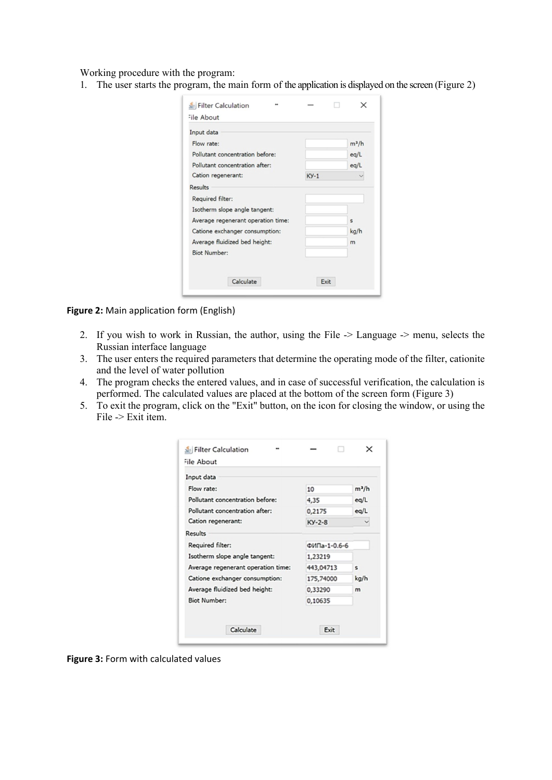Working procedure with the program:

1. The user starts the program, the main form of the application is displayed on the screen (Figure 2)

| Input data                         |        |         |
|------------------------------------|--------|---------|
| Flow rate:                         |        | $m^2/h$ |
| Pollutant concentration before:    |        | eq/L    |
| Pollutant concentration after:     |        | eq/L    |
| Cation regenerant:                 | $KY-1$ |         |
| Results                            |        |         |
| Required filter:                   |        |         |
| Isotherm slope angle tangent:      |        |         |
| Average regenerant operation time: |        | S       |
| Catione exchanger consumption:     |        | kg/h    |
| Average fluidized bed height:      |        | m       |
| <b>Biot Number:</b>                |        |         |

**Figure 2:** Main application form (English)

- 2. If you wish to work in Russian, the author, using the File -> Language -> menu, selects the Russian interface language
- 3. The user enters the required parameters that determine the operating mode of the filter, cationite and the level of water pollution
- 4. The program checks the entered values, and in case of successful verification, the calculation is performed. The calculated values are placed at the bottom of the screen form (Figure 3)
- 5. To exit the program, click on the "Exit" button, on the icon for closing the window, or using the File -> Exit item.

| Input data                         |              |         |
|------------------------------------|--------------|---------|
| Flow rate:                         | 10           | $m^2/h$ |
| Pollutant concentration before:    | 4,35         | eq/L    |
| Pollutant concentration after:     | 0,2175       | eq/L    |
| Cation regenerant:                 | $KY-2-8$     |         |
| Results                            |              |         |
| Required filter:                   | ФИПа-1-0.6-6 |         |
| Isotherm slope angle tangent:      | 1,23219      |         |
| Average regenerant operation time: | 443,04713    | s       |
| Catione exchanger consumption:     | 175,74000    | kg/h    |
| Average fluidized bed height:      | 0,33290      | m       |
| <b>Biot Number:</b>                | 0,10635      |         |

**Figure 3:** Form with calculated values